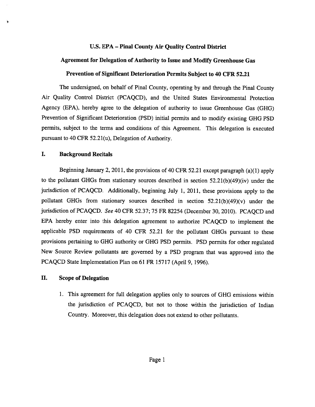### U.S. EPA — Pinal County Air Quality Control District

### Agreement for Delegation of Authority to Issue and Modify Greenhouse Gas

### Prevention of Significant Deterioration Permits Subject to 40 CFR 52.21

The undersigned, on behalf of Pinal County, operating by and through the Pinal County Air Quality Control District (PCAQCD), and the United States Environmental Protection Agency (EPA), hereby agree to the delegation of authority to issue Greenhouse Gas (GHG) Prevention of Significant Deterioration (PSD) initial permits and to modify existing GHG PSD permits, subject to the terms and conditions of this Agreement. This delegation is executed pursuan<sup>t</sup> to 40 CFR 52.21(u), Delegation of Authority.

### I. Background Recitals

Beginning January 2, 2011, the provisions of <sup>40</sup> CFR 52.21 excep<sup>t</sup> paragrap<sup>h</sup> (a)(1) apply to the pollutant GHGs from stationary sources described in section 52.2 1(b)(49)(iv) under the jurisdiction of PCAQCD. Additionally, beginning July 1, 2011, these provisions apply to the pollutant GHGs from stationary sources described in section  $52.21(b)(49)(v)$  under the jurisdiction of PCAQCD. See <sup>40</sup> CFR 52.37; <sup>75</sup> FR <sup>82254</sup> (December 30, 2010). PCAQCD and EPA hereby enter into this delegation agreemen<sup>t</sup> to authorize PCAQCD to implement the applicable PSD requirements of <sup>40</sup> CFR 52.21 for the pollutant GHGs pursuan<sup>t</sup> to these provisions pertaining to GHG authority or GHG PSD permits. PSD permits for other regulated New Source Review pollutants are governe<sup>d</sup> by <sup>a</sup> PSD program that was approve<sup>d</sup> into the PCAQCD State Implementation Plan on 61 FR 15717 (April 9, 1996).

### IL Scope of Delegation

1. This agreemen<sup>t</sup> for full delegation applies only to sources of GHG emissions within the jurisdiction of PCAQCD, but not to those within the jurisdiction of indian Country. Moreover, this delegation does not extend to other pollutants.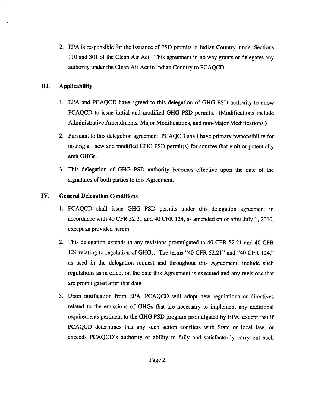2. EPA is responsible for the issuance of PSD permits in Indian Country, under Sections <sup>110</sup> and <sup>301</sup> of the Clean Air Act. This agreemen<sup>t</sup> in no way grants or delegates any authority under the Clean Air Act in Indian Country to PCAQCD.

# III. Applicability

- 1. EPA and PCAQCD have agreed to this delegation of GHG PSD authority to allow PCAQCD to issue initial and modified GHG PSD permits. (Modifications include Administrative Amendments, Major Modifications, and non-Major Modifications.)
- 2. Pursuant to this delegation agreement, PCAQCD shall have primary responsibility for issuing all new and modified GHG PSD permit(s) for sources that emit or potentially emit GHGs.
- 3. This delegation of GHG PSD authority becomes effective upon the date of the signatures of both parties to this Agreement.

# IV. General Delegation Conditions

- 1. PCAQCD shall issue GHG PSD permits under this delegation agreemen<sup>t</sup> in accordance with <sup>40</sup> CFR 52.21 and <sup>40</sup> CFR 124, as amended on or after July 1, 2010, excep<sup>t</sup> as provided herein.
- 2. This delegation extends to any revisions promulgated to 40 CFR 52.21 and 40 CFR 124 relating to regulation of GHGs. The terms "40 CFR 52.21" and "40 CFR 124," as used in the delegation reques<sup>t</sup> and throughout this Agreement, include such regulations as in effect on the date this Agreement is executed and any revisions that are promulgated after that date.
- 3. Upon notification from EPA, PCAQCD will adopt new regulations or directives related to the emissions of GHGs that are necessary to implement any additional requirements pertinent to the GHG PSD program promulgated by EPA, excep<sup>t</sup> that if PCAQCD determines that any such action conflicts with State or local law, or exceeds PCAQCD's authority or ability to fully and satisfactorily carry out such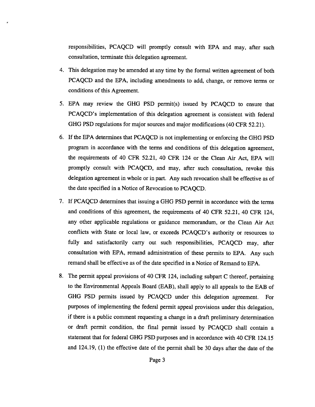responsibilities, PCAQCD will promptly consult with EPA and may, after such consultation, terminate this delegation agreement.

- 4. This delegation may be amended at any time by the formal written agreemen<sup>t</sup> of both PCAQCD and the EPA, including amendments to add, change, or remove terms or conditions of this Agreement.
- 5. EPA may review the GHG PSD permit(s) issued by PCAQCD to ensure that PCAQCD's implementation of this delegation agreemen<sup>t</sup> is consistent with federal GHG PSD regulations for major sources and major modifications (40 CFR 52.21).
- 6. If the EPA determines that PCAQCD is not implementing or enforcing the GHG PSD program in accordance with the terms and conditions of this delegation agreement, the requirements of 40 CFR 52.21, 40 CFR 124 or the Clean Air Act, EPA will promptly consult with PCAQCD, and may, after such consultation, revoke this delegation agreemen<sup>t</sup> in whole or in part. Any such revocation shall be effective as of the date specified in <sup>a</sup> Notice of Revocation to PCAQCD.
- 7. If PCAQCD determines that issuing <sup>a</sup> GHG PSD permit in accordance with the terms and conditions of this agreement, the requirements of 40 CFR 52.21, 40 CFR 124, any other applicable regulations or guidance memorandum, or the Clean Air Act conflicts with State or local law, or exceeds PCAQCD's authority or resources to fully and satisfactorily carry out such responsibilities, PCAQCD may, after consultation with EPA, remand administration of these permits to EPA. Any such remand shall be effective as of the date specified in <sup>a</sup> Notice of Remand to EPA.
- 8. The permit appea<sup>l</sup> provisions of <sup>40</sup> CFR 124, including subpart <sup>C</sup> thereof, pertaining to the Environmental Appeals Board (EAB), shall apply to all appeals to the EAB of GHG PSD permits issued by PCAQCD under this delegation agreement. For purposes of implementing the federal permit appea<sup>l</sup> provisions under this delegation, if there is <sup>a</sup> public comment requesting <sup>a</sup> change in <sup>a</sup> draft preliminary determination or draft permit condition, the final permit issued by PCAQCD shall contain <sup>a</sup> statement that for federal GHG PSD purposes and in accordance with 40 CFR 124.15 and 124.19, (1) the effective date of the permit shall be <sup>30</sup> days after the date of the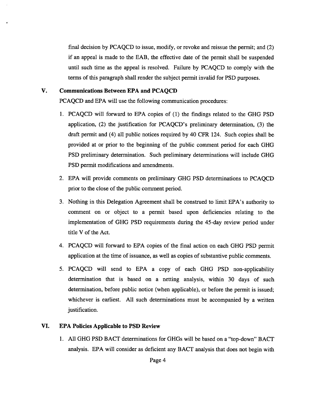final decision by PCAQCD to issue, modify, or revoke and reissue the permit; and (2) if an appeal is made to the EAB, the effective date of the permit shall be suspended until such time as the appeal is resolved. Failure by PCAQCD to comply with the terms of this paragraph shall render the subject permit invalid for PSD purposes.

## V. Communications Between EPA and PCAQCD

PCAQCD and EPA will use the following communication procedures:

- 1. PCAQCD will forward to EPA copies of (1) the findings related to the GHG PSD application, (2) the justification for PCAQCD's preliminary determination, (3) the draft permit and (4) all public notices required by 40 CFR 124. Such copies shall be provided at or prior to the beginning of the public comment period for each GHG PSD preliminary determination. Such preliminary determinations will include GHG PSD permit modifications and amendments.
- 2. EPA will provide comments on preliminary GHG PSD determinations to PCAQCD prior to the close of the public comment period.
- 3. Nothing in this Delegation Agreement shall be construed to limit EPA's authority to comment on or object to <sup>a</sup> permit based upon deficiencies relating to the implementation of GHG PSD requirements during the 45-day review period under title V of the Act.
- 4. PCAQCD will forward to EPA copies of the final action on each GHG PSD permit application at the time of issuance, as well as copies of substantive public comments.
- 5. PCAQCD will send to EPA <sup>a</sup> copy of each GHG PSD non-applicability determination that is based on <sup>a</sup> netting analysis, within 30 days of such determination, before public notice (when applicable), or before the permit is issued; whichever is earliest. All such determinations must be accompanied by a written justification.

#### VI. EPA Policies Applicable to PSD Review

1. All GHG PSD BACT determinations for GHGs will be based on <sup>a</sup> "top-down" BACT analysis. EPA will consider as deficient any BACT analysis that does not begin with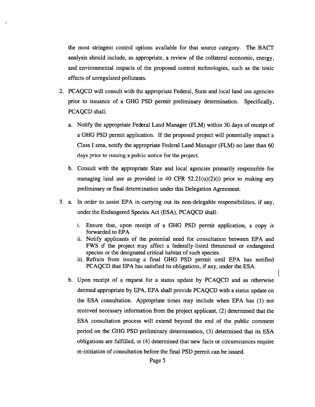the most stringent control options available for that source category. The BACT analysis should include, as appropriate, <sup>a</sup> review of the collateral economic, energy, and environmental impacts of the proposed control technologies, such as the toxic effects of unregulated pollutants.

- 2. PCAQCD will consult with the appropriate Federal, State and local land use agencies prior to issuance of <sup>a</sup> GHG PSD permit preliminary determination. Specifically, PCAQCD shall:
	- a. Notify the appropriate Federal Land Manager (FLM) within 30 days of receipt of <sup>a</sup> GHG PSD permit application. If the proposed project will potentially impact <sup>a</sup> Class I area, notify the appropriate Federal Land Manager (FLM) no later than 60 days prior to issuing <sup>a</sup> public notice for the project.
	- b. Consult with the appropriate State and local agencies primarily responsible for managing land use as provided in 40 CFR  $52.21(u)(2)(i)$  prior to making any preliminary or final determination under this Delegation Agreement.
- 3. a. In order to assist EPA in carrying out its non-delegable responsibilities, if any, under the Endangered Species Act (ESA), PCAQCD shall:
	- i. Ensure that, upon receipt of <sup>a</sup> GHG PSD permit application, <sup>a</sup> copy is forwarded to EPA.
	- ii. Notify applicants of the potential need for consultation between EPA and FWS if the project may affect <sup>a</sup> federally-listed threatened or endangered species or the designated critical habitat of such species.
	- iii. Refrain from issuing <sup>a</sup> final GHG PSD permit until EPA has notified PCAQCD that EPA has satisfied its obligations, if any, under the ESA.
	- b. Upon receipt of <sup>a</sup> reques<sup>t</sup> for <sup>a</sup> status update by PCAQCD and as otherwise deemed appropriate by EPA, EPA shall provide PCAQCD with <sup>a</sup> status update on the ESA consultation. Appropriate times may include when EPA has (1) not received necessary information from the project applicant, (2) determined that the ESA consultation process will extend beyond the end of the public comment period on the GHG PSD preliminary determination, (3) determined that its ESA obligations are fulfilled, or (4) determined that new facts or circumstances require re-initiation of consultation before the final PSD permit can be issued.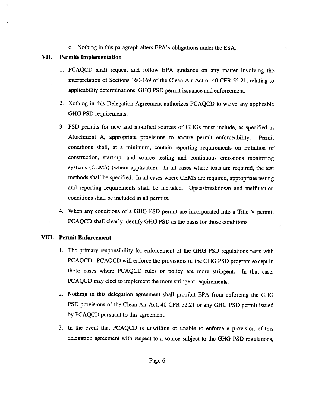c. Nothing in this paragraph alters EPA's obligations under the ESA.

# VII. Permits Implementation

- 1. PCAQCD shall reques<sup>t</sup> and follow EPA guidance on any matter involving the interpretation of Sections 160-169 of the Clean Air Act or <sup>40</sup> CFR 52.21, relating to applicability determinations, GHG PSD permit issuance and enforcement.
- 2. Nothing in this Delegation Agreement authorizes PCAQCD to waive any applicable GHG PSD requirements.
- 3. PSD permits for new and modified sources of GHGs must include, as specified in Attachment A, appropriate provisions to ensure permit enforceability. Permit conditions shall, at <sup>a</sup> minimum, contain reporting requirements on initiation of construction, start-up, and source testing and continuous emissions monitoring systems (CEMS) (where applicable). In all cases where tests are required, the test methods shall be specified. In all cases where CEMS are required, appropriate testing and reporting requirements shall be included. Upset/breakdown and malfunction conditions shall be included in all permits.
- 4. When any conditions of <sup>a</sup> GHG PSD permit are incorporated into <sup>a</sup> Title <sup>V</sup> permit, PCAQCD shall clearly identify GHG PSD as the basis for those conditions.

# VIII. Permit Enforcement

- 1. The primary responsibility for enforcement of the GHG PSD regulations rests with PCAQCD. PCAQCD will enforce the provisions of the GHG PSD program excep<sup>t</sup> in those cases where PCAQCD rules or policy are more stringent. In that case, PCAQCD may elect to implement the more stringent requirements.
- 2. Nothing in this delegation agreemen<sup>t</sup> shall prohibit EPA from enforcing the GHG PSD provisions of the Clean Air Act, <sup>40</sup> CFR 52.21 or any GHG PSD permit issued by PCAQCD pursuan<sup>t</sup> to this agreement.
- 3. In the event that PCAQCD is unwilling or unable to enforce <sup>a</sup> provision of this delegation agreemen<sup>t</sup> with respec<sup>t</sup> to <sup>a</sup> source subject to the GHG PSD regulations,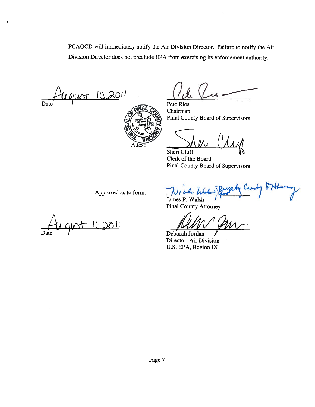PCAQCD will immediately notify the Air Division Director. Failure to notify the Air Division Director does not preclude EPA from exercising its enforcement authority.

 $10.201$ Date Pete Rios



Chairman Pinal County Board of Supervisors

Sheri Cluff Jeri Cly

Clerk of the Board Pinal County Board of Supervisors

Approved as to form:

 $710,2011$ 

James P. Walsh Pinal County Attorney

Deborah Jordan Director. Air Division U.S. EPA, Region IX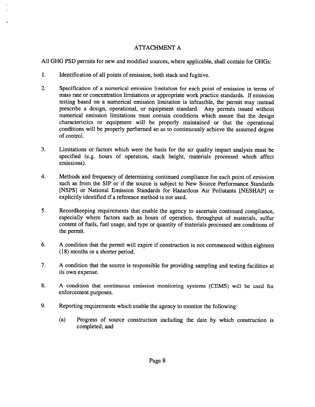## ATTACHMENT A

All GHG PSD permits for new and modified sources, where applicable, shall contain for GHGs:

- 1. Identification of all points of emission, both stack and fugitive.
- 2. Specification of <sup>a</sup> numerical emission limitation for each point of emission in terms of mass rate or concentration limitations or appropriate work practice standards. If emission testing based on <sup>a</sup> numerical emission limitation is infeasible, the permit may instead prescribe <sup>a</sup> design, operational, or equipment standard. Any permits issued without numerical emission limitations must contain conditions which assure that the design characteristics or equipment will be properly maintained or that the operational conditions will be properly performed so as to continuously achieve the assumed degree of control.
- 3. Limitations or factors which were the basis for the air quality impact analysis must be specified (e.g. hours of operation, stack height, materials processed which affect emissions).
- 4. Methods and frequency of determining continued compliance for each point of emission such as from the SIP or if the source is subject to New Source Performance Standards [NSPS] or National Emission Standards for Hazardous Air Pollutants [NESHAPI or explicitly identified if <sup>a</sup> reference method is not used.
- 5. Recordkeeping requirements that enable the agency to ascertain continued compliance, especially where factors such as hours of operation, throughput of materials, sulfur content of fuels, fuel usage, and type or quantity of materials processed are conditions of the permit.
- 6. <sup>A</sup> condition that the permit will expire if construction is not commenced within eighteen (18) months or <sup>a</sup> shorter period.
- 7. <sup>A</sup> condition that the source is responsible for providing sampling and testing facilities at its own expense.
- 8. <sup>A</sup> condition that continuous emission monitoring systems (CEMS) will be used for enforcement purposes.
- 9. Reporting requirements which enable the agency to monitor the following:
	- (a) Progress of source construction including the date by which construction is completed; and